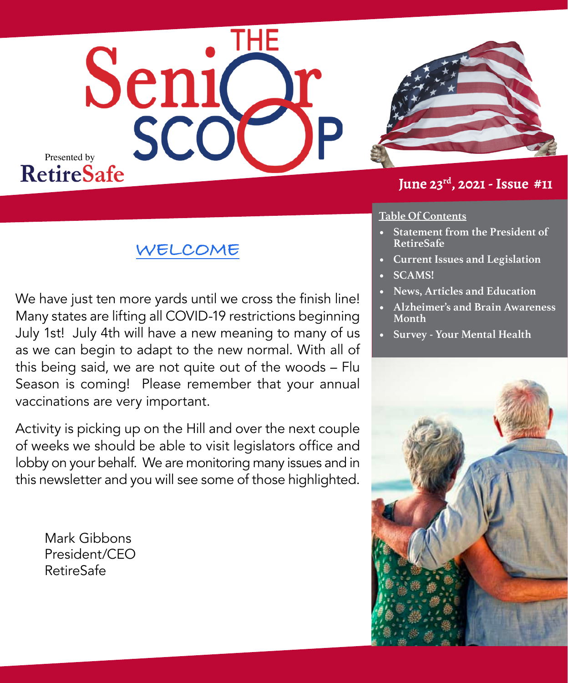



#### **June 23rd, 2021 - Issue #11**

#### **Table Of Contents**

- **• Statement from the President of RetireSafe**
- **• Current Issues and Legislation**
- **• SCAMS!**
- **• News, Articles and Education**
- **• Alzheimer's and Brain Awareness Month**
- **• Survey Your Mental Health**



### **WELCOME**

We have just ten more yards until we cross the finish line! Many states are lifting all COVID-19 restrictions beginning July 1st! July 4th will have a new meaning to many of us as we can begin to adapt to the new normal. With all of this being said, we are not quite out of the woods – Flu Season is coming! Please remember that your annual vaccinations are very important.

Activity is picking up on the Hill and over the next couple of weeks we should be able to visit legislators office and lobby on your behalf. We are monitoring many issues and in this newsletter and you will see some of those highlighted.

Mark Gibbons President/CEO RetireSafe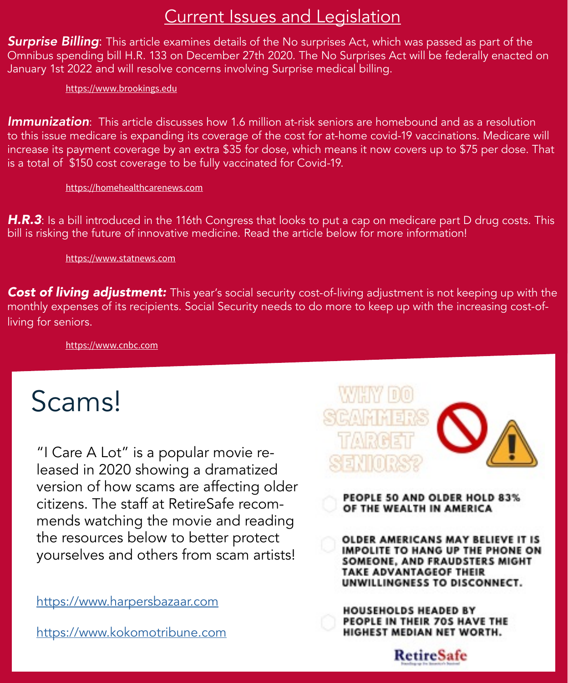## Current Issues and Legislation

*Surprise Billing*: This article examines details of the No surprises Act, which was passed as part of the Omnibus spending bill H.R. 133 on December 27th 2020. The No Surprises Act will be federally enacted on January 1st 2022 and will resolve concerns involving Surprise medical billing.

 [https://www.brookings.edu](https://www.brookings.edu/blog/usc-brookings-schaeffer-on-health-policy/2021/02/04/understanding-the-no-surprises-act/)

*Immunization*: This article discusses how 1.6 million at-risk seniors are homebound and as a resolution to this issue medicare is expanding its coverage of the cost for at-home covid-19 vaccinations. Medicare will increase its payment coverage by an extra \$35 for dose, which means it now covers up to \$75 per dose. That is a total of \$150 cost coverage to be fully vaccinated for Covid-19.

 [https://homehealthcarenews.com](https://homehealthcarenews.com/2021/06/to-better-protect-homebound-seniors-cms-boosts-medicare-rates-for-at-home-covid-19-vaccinations/)

*H.R.3*: Is a bill introduced in the 116th Congress that looks to put a cap on medicare part D drug costs. This bill is risking the future of innovative medicine. Read the article below for more information!

[https://www.statnews.com](https://www.statnews.com/2019/12/09/hr3-wrong-path-lower-drug-costs/)

**Cost of living adjustment:** This year's social security cost-of-living adjustment is not keeping up with the monthly expenses of its recipients. Social Security needs to do more to keep up with the increasing cost-ofliving for seniors.

 [https://www.cnbc.com](https://www.cnbc.com/2021/04/27/-social-security-cola-adjustment-not-keeping-up-with-prices-retirees-pay.html)

# Scams!

"I Care A Lot" is a popular movie released in 2020 showing a dramatized version of how scams are affecting older citizens. The staff at RetireSafe recommends watching the movie and reading the resources below to better protect yourselves and others from scam artists!

[https://www.harpersbazaar.com](https://www.harpersbazaar.com/culture/film-tv/a35680171/i-care-a-lot-true-story/)

[https://www.kokomotribune.com](https://www.kokomotribune.com/indiana/opinion/charo-boyd-column-social-security-and-protecting-elders-from-scams/article_8b789064-fae3-542b-856d-e6f52a566f24.html)



PEOPLE 50 AND OLDER HOLD 83% OF THE WEALTH IN AMERICA

OLDER AMERICANS MAY BELIEVE IT IS **IMPOLITE TO HANG UP THE PHONE ON** SOMEONE, AND FRAUDSTERS MIGHT **TAKE ADVANTAGEOF THEIR** UNWILLINGNESS TO DISCONNECT.

**HOUSEHOLDS HEADED BY** PEOPLE IN THEIR 70S HAVE THE HIGHEST MEDIAN NET WORTH.